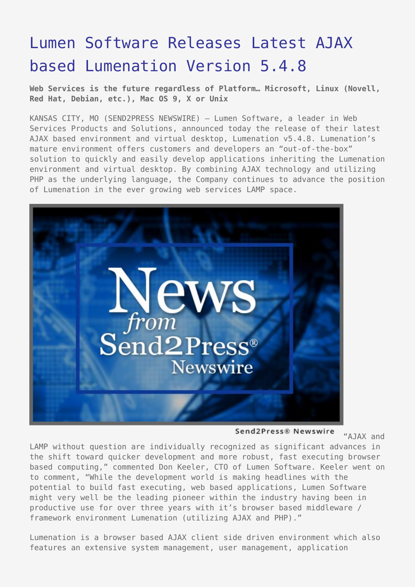## [Lumen Software Releases Latest AJAX](https://www.send2press.com/wire/2005-11-1108-005/) [based Lumenation Version 5.4.8](https://www.send2press.com/wire/2005-11-1108-005/)

**Web Services is the future regardless of Platform… Microsoft, Linux (Novell, Red Hat, Debian, etc.), Mac OS 9, X or Unix**

KANSAS CITY, MO (SEND2PRESS NEWSWIRE) — Lumen Software, a leader in Web Services Products and Solutions, announced today the release of their latest AJAX based environment and virtual desktop, Lumenation v5.4.8. Lumenation's mature environment offers customers and developers an "out-of-the-box" solution to quickly and easily develop applications inheriting the Lumenation environment and virtual desktop. By combining AJAX technology and utilizing PHP as the underlying language, the Company continues to advance the position of Lumenation in the ever growing web services LAMP space.



Send2Press® Newswire "AJAX and LAMP without question are individually recognized as significant advances in the shift toward quicker development and more robust, fast executing browser based computing," commented Don Keeler, CTO of Lumen Software. Keeler went on to comment, "While the development world is making headlines with the potential to build fast executing, web based applications, Lumen Software might very well be the leading pioneer within the industry having been in productive use for over three years with it's browser based middleware / framework environment Lumenation (utilizing AJAX and PHP)."

Lumenation is a browser based AJAX client side driven environment which also features an extensive system management, user management, application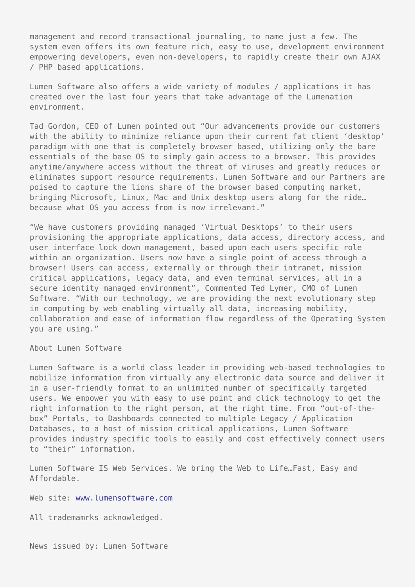management and record transactional journaling, to name just a few. The system even offers its own feature rich, easy to use, development environment empowering developers, even non-developers, to rapidly create their own AJAX / PHP based applications.

Lumen Software also offers a wide variety of modules / applications it has created over the last four years that take advantage of the Lumenation environment.

Tad Gordon, CEO of Lumen pointed out "Our advancements provide our customers with the ability to minimize reliance upon their current fat client 'desktop' paradigm with one that is completely browser based, utilizing only the bare essentials of the base OS to simply gain access to a browser. This provides anytime/anywhere access without the threat of viruses and greatly reduces or eliminates support resource requirements. Lumen Software and our Partners are poised to capture the lions share of the browser based computing market, bringing Microsoft, Linux, Mac and Unix desktop users along for the ride… because what OS you access from is now irrelevant."

"We have customers providing managed 'Virtual Desktops' to their users provisioning the appropriate applications, data access, directory access, and user interface lock down management, based upon each users specific role within an organization. Users now have a single point of access through a browser! Users can access, externally or through their intranet, mission critical applications, legacy data, and even terminal services, all in a secure identity managed environment", Commented Ted Lymer, CMO of Lumen Software. "With our technology, we are providing the next evolutionary step in computing by web enabling virtually all data, increasing mobility, collaboration and ease of information flow regardless of the Operating System you are using."

About Lumen Software

Lumen Software is a world class leader in providing web-based technologies to mobilize information from virtually any electronic data source and deliver it in a user-friendly format to an unlimited number of specifically targeted users. We empower you with easy to use point and click technology to get the right information to the right person, at the right time. From "out-of-thebox" Portals, to Dashboards connected to multiple Legacy / Application Databases, to a host of mission critical applications, Lumen Software provides industry specific tools to easily and cost effectively connect users to "their" information.

Lumen Software IS Web Services. We bring the Web to Life…Fast, Easy and Affordable.

Web site: [www.lumensoftware.com](http://www.lumensoftware.com/)

All trademamrks acknowledged.

News issued by: Lumen Software